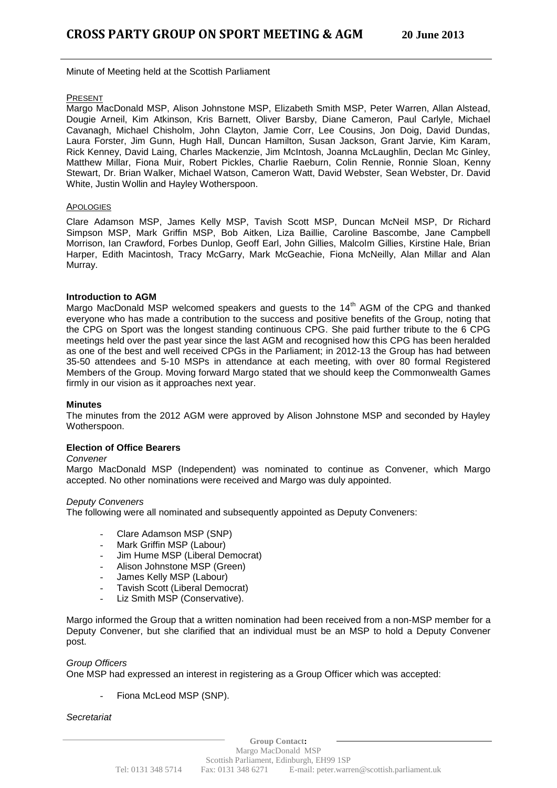Minute of Meeting held at the Scottish Parliament

## PRESENT

Margo MacDonald MSP, Alison Johnstone MSP, Elizabeth Smith MSP, Peter Warren, Allan Alstead, Dougie Arneil, Kim Atkinson, Kris Barnett, Oliver Barsby, Diane Cameron, Paul Carlyle, Michael Cavanagh, Michael Chisholm, John Clayton, Jamie Corr, Lee Cousins, Jon Doig, David Dundas, Laura Forster, Jim Gunn, Hugh Hall, Duncan Hamilton, Susan Jackson, Grant Jarvie, Kim Karam, Rick Kenney, David Laing, Charles Mackenzie, Jim McIntosh, Joanna McLaughlin, Declan Mc Ginley, Matthew Millar, Fiona Muir, Robert Pickles, Charlie Raeburn, Colin Rennie, Ronnie Sloan, Kenny Stewart, Dr. Brian Walker, Michael Watson, Cameron Watt, David Webster, Sean Webster, Dr. David White, Justin Wollin and Hayley Wotherspoon.

### APOLOGIES

Clare Adamson MSP, James Kelly MSP, Tavish Scott MSP, Duncan McNeil MSP, Dr Richard Simpson MSP, Mark Griffin MSP, Bob Aitken, Liza Baillie, Caroline Bascombe, Jane Campbell Morrison, Ian Crawford, Forbes Dunlop, Geoff Earl, John Gillies, Malcolm Gillies, Kirstine Hale, Brian Harper, Edith Macintosh, Tracy McGarry, Mark McGeachie, Fiona McNeilly, Alan Millar and Alan Murray.

# **Introduction to AGM**

Margo MacDonald MSP welcomed speakers and guests to the 14<sup>th</sup> AGM of the CPG and thanked everyone who has made a contribution to the success and positive benefits of the Group, noting that the CPG on Sport was the longest standing continuous CPG. She paid further tribute to the 6 CPG meetings held over the past year since the last AGM and recognised how this CPG has been heralded as one of the best and well received CPGs in the Parliament; in 2012-13 the Group has had between 35-50 attendees and 5-10 MSPs in attendance at each meeting, with over 80 formal Registered Members of the Group. Moving forward Margo stated that we should keep the Commonwealth Games firmly in our vision as it approaches next year.

### **Minutes**

The minutes from the 2012 AGM were approved by Alison Johnstone MSP and seconded by Hayley Wotherspoon.

# **Election of Office Bearers**

*Convener*

Margo MacDonald MSP (Independent) was nominated to continue as Convener, which Margo accepted. No other nominations were received and Margo was duly appointed.

### *Deputy Conveners*

The following were all nominated and subsequently appointed as Deputy Conveners:

- Clare Adamson MSP (SNP)
- Mark Griffin MSP (Labour)
- Jim Hume MSP (Liberal Democrat)
- Alison Johnstone MSP (Green)
- James Kelly MSP (Labour)
- Tavish Scott (Liberal Democrat)
- Liz Smith MSP (Conservative).

Margo informed the Group that a written nomination had been received from a non-MSP member for a Deputy Convener, but she clarified that an individual must be an MSP to hold a Deputy Convener post.

### *Group Officers*

One MSP had expressed an interest in registering as a Group Officer which was accepted:

Fiona McLeod MSP (SNP).

*Secretariat*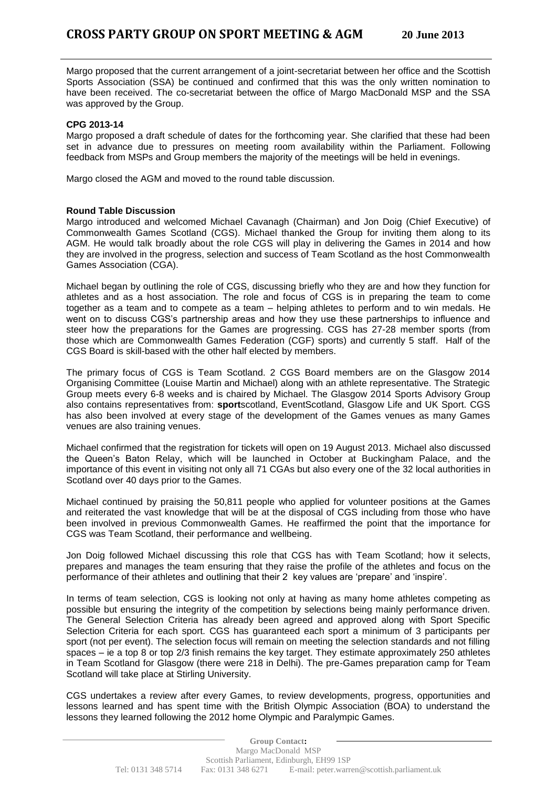Margo proposed that the current arrangement of a joint-secretariat between her office and the Scottish Sports Association (SSA) be continued and confirmed that this was the only written nomination to have been received. The co-secretariat between the office of Margo MacDonald MSP and the SSA was approved by the Group.

### **CPG 2013-14**

Margo proposed a draft schedule of dates for the forthcoming year. She clarified that these had been set in advance due to pressures on meeting room availability within the Parliament. Following feedback from MSPs and Group members the majority of the meetings will be held in evenings.

Margo closed the AGM and moved to the round table discussion.

### **Round Table Discussion**

Margo introduced and welcomed Michael Cavanagh (Chairman) and Jon Doig (Chief Executive) of Commonwealth Games Scotland (CGS). Michael thanked the Group for inviting them along to its AGM. He would talk broadly about the role CGS will play in delivering the Games in 2014 and how they are involved in the progress, selection and success of Team Scotland as the host Commonwealth Games Association (CGA).

Michael began by outlining the role of CGS, discussing briefly who they are and how they function for athletes and as a host association. The role and focus of CGS is in preparing the team to come together as a team and to compete as a team – helping athletes to perform and to win medals. He went on to discuss CGS's partnership areas and how they use these partnerships to influence and steer how the preparations for the Games are progressing. CGS has 27-28 member sports (from those which are Commonwealth Games Federation (CGF) sports) and currently 5 staff. Half of the CGS Board is skill-based with the other half elected by members.

The primary focus of CGS is Team Scotland. 2 CGS Board members are on the Glasgow 2014 Organising Committee (Louise Martin and Michael) along with an athlete representative. The Strategic Group meets every 6-8 weeks and is chaired by Michael. The Glasgow 2014 Sports Advisory Group also contains representatives from: **sport**scotland, EventScotland, Glasgow Life and UK Sport. CGS has also been involved at every stage of the development of the Games venues as many Games venues are also training venues.

Michael confirmed that the registration for tickets will open on 19 August 2013. Michael also discussed the Queen's Baton Relay, which will be launched in October at Buckingham Palace, and the importance of this event in visiting not only all 71 CGAs but also every one of the 32 local authorities in Scotland over 40 days prior to the Games.

Michael continued by praising the 50,811 people who applied for volunteer positions at the Games and reiterated the vast knowledge that will be at the disposal of CGS including from those who have been involved in previous Commonwealth Games. He reaffirmed the point that the importance for CGS was Team Scotland, their performance and wellbeing.

Jon Doig followed Michael discussing this role that CGS has with Team Scotland; how it selects, prepares and manages the team ensuring that they raise the profile of the athletes and focus on the performance of their athletes and outlining that their 2 key values are 'prepare' and 'inspire'.

In terms of team selection, CGS is looking not only at having as many home athletes competing as possible but ensuring the integrity of the competition by selections being mainly performance driven. The General Selection Criteria has already been agreed and approved along with Sport Specific Selection Criteria for each sport. CGS has guaranteed each sport a minimum of 3 participants per sport (not per event). The selection focus will remain on meeting the selection standards and not filling spaces – ie a top 8 or top 2/3 finish remains the key target. They estimate approximately 250 athletes in Team Scotland for Glasgow (there were 218 in Delhi). The pre-Games preparation camp for Team Scotland will take place at Stirling University.

CGS undertakes a review after every Games, to review developments, progress, opportunities and lessons learned and has spent time with the British Olympic Association (BOA) to understand the lessons they learned following the 2012 home Olympic and Paralympic Games.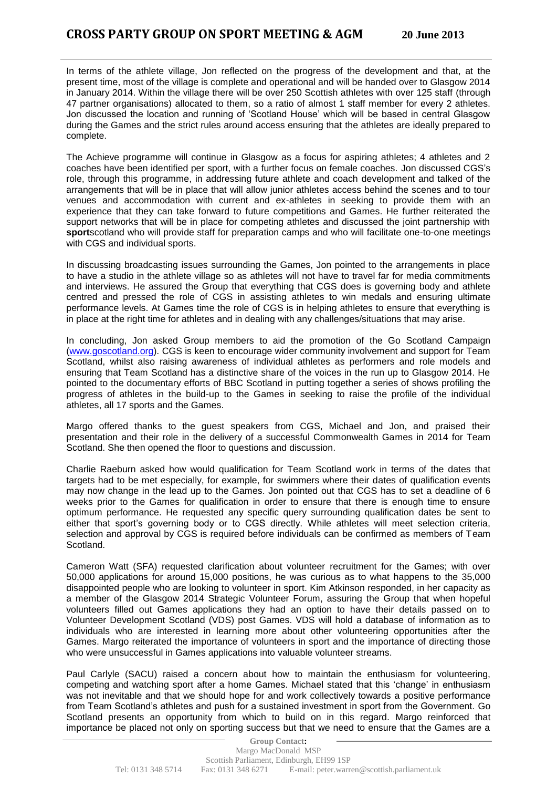In terms of the athlete village, Jon reflected on the progress of the development and that, at the present time, most of the village is complete and operational and will be handed over to Glasgow 2014 in January 2014. Within the village there will be over 250 Scottish athletes with over 125 staff (through 47 partner organisations) allocated to them, so a ratio of almost 1 staff member for every 2 athletes. Jon discussed the location and running of 'Scotland House' which will be based in central Glasgow during the Games and the strict rules around access ensuring that the athletes are ideally prepared to complete.

The Achieve programme will continue in Glasgow as a focus for aspiring athletes; 4 athletes and 2 coaches have been identified per sport, with a further focus on female coaches. Jon discussed CGS's role, through this programme, in addressing future athlete and coach development and talked of the arrangements that will be in place that will allow junior athletes access behind the scenes and to tour venues and accommodation with current and ex-athletes in seeking to provide them with an experience that they can take forward to future competitions and Games. He further reiterated the support networks that will be in place for competing athletes and discussed the joint partnership with **sport**scotland who will provide staff for preparation camps and who will facilitate one-to-one meetings with CGS and individual sports.

In discussing broadcasting issues surrounding the Games, Jon pointed to the arrangements in place to have a studio in the athlete village so as athletes will not have to travel far for media commitments and interviews. He assured the Group that everything that CGS does is governing body and athlete centred and pressed the role of CGS in assisting athletes to win medals and ensuring ultimate performance levels. At Games time the role of CGS is in helping athletes to ensure that everything is in place at the right time for athletes and in dealing with any challenges/situations that may arise.

In concluding, Jon asked Group members to aid the promotion of the Go Scotland Campaign [\(www.goscotland.org\)](http://www.goscotland.org/). CGS is keen to encourage wider community involvement and support for Team Scotland, whilst also raising awareness of individual athletes as performers and role models and ensuring that Team Scotland has a distinctive share of the voices in the run up to Glasgow 2014. He pointed to the documentary efforts of BBC Scotland in putting together a series of shows profiling the progress of athletes in the build-up to the Games in seeking to raise the profile of the individual athletes, all 17 sports and the Games.

Margo offered thanks to the guest speakers from CGS, Michael and Jon, and praised their presentation and their role in the delivery of a successful Commonwealth Games in 2014 for Team Scotland. She then opened the floor to questions and discussion.

Charlie Raeburn asked how would qualification for Team Scotland work in terms of the dates that targets had to be met especially, for example, for swimmers where their dates of qualification events may now change in the lead up to the Games. Jon pointed out that CGS has to set a deadline of 6 weeks prior to the Games for qualification in order to ensure that there is enough time to ensure optimum performance. He requested any specific query surrounding qualification dates be sent to either that sport's governing body or to CGS directly. While athletes will meet selection criteria, selection and approval by CGS is required before individuals can be confirmed as members of Team Scotland.

Cameron Watt (SFA) requested clarification about volunteer recruitment for the Games; with over 50,000 applications for around 15,000 positions, he was curious as to what happens to the 35,000 disappointed people who are looking to volunteer in sport. Kim Atkinson responded, in her capacity as a member of the Glasgow 2014 Strategic Volunteer Forum, assuring the Group that when hopeful volunteers filled out Games applications they had an option to have their details passed on to Volunteer Development Scotland (VDS) post Games. VDS will hold a database of information as to individuals who are interested in learning more about other volunteering opportunities after the Games. Margo reiterated the importance of volunteers in sport and the importance of directing those who were unsuccessful in Games applications into valuable volunteer streams.

Paul Carlyle (SACU) raised a concern about how to maintain the enthusiasm for volunteering, competing and watching sport after a home Games. Michael stated that this 'change' in enthusiasm was not inevitable and that we should hope for and work collectively towards a positive performance from Team Scotland's athletes and push for a sustained investment in sport from the Government. Go Scotland presents an opportunity from which to build on in this regard. Margo reinforced that importance be placed not only on sporting success but that we need to ensure that the Games are a